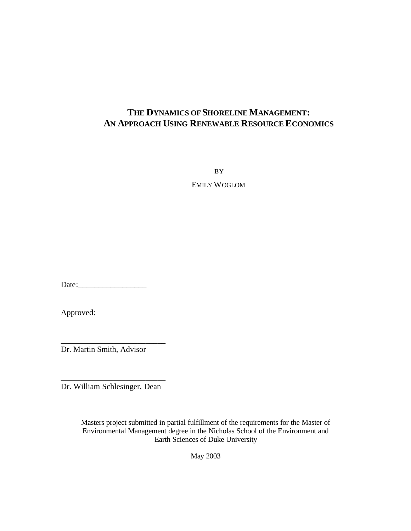# **THE DYNAMICS OF SHORELINE MANAGEMENT: AN APPROACH USING RENEWABLE RESOURCE ECONOMICS**

BY

EMILY WOGLOM

Date:

Approved:

Dr. Martin Smith, Advisor

\_\_\_\_\_\_\_\_\_\_\_\_\_\_\_\_\_\_\_\_\_\_\_\_\_\_

\_\_\_\_\_\_\_\_\_\_\_\_\_\_\_\_\_\_\_\_\_\_\_\_\_\_ Dr. William Schlesinger, Dean

> Masters project submitted in partial fulfillment of the requirements for the Master of Environmental Management degree in the Nicholas School of the Environment and Earth Sciences of Duke University

> > May 2003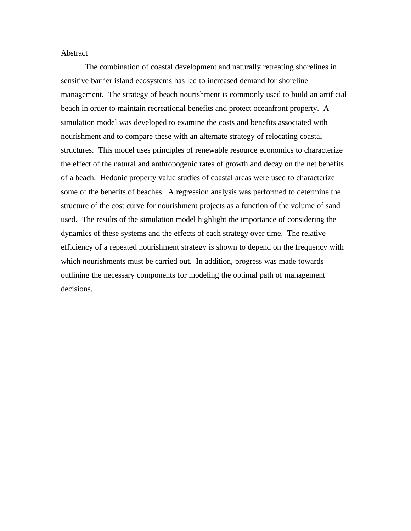#### Abstract

The combination of coastal development and naturally retreating shorelines in sensitive barrier island ecosystems has led to increased demand for shoreline management. The strategy of beach nourishment is commonly used to build an artificial beach in order to maintain recreational benefits and protect oceanfront property. A simulation model was developed to examine the costs and benefits associated with nourishment and to compare these with an alternate strategy of relocating coastal structures. This model uses principles of renewable resource economics to characterize the effect of the natural and anthropogenic rates of growth and decay on the net benefits of a beach. Hedonic property value studies of coastal areas were used to characterize some of the benefits of beaches. A regression analysis was performed to determine the structure of the cost curve for nourishment projects as a function of the volume of sand used. The results of the simulation model highlight the importance of considering the dynamics of these systems and the effects of each strategy over time. The relative efficiency of a repeated nourishment strategy is shown to depend on the frequency with which nourishments must be carried out. In addition, progress was made towards outlining the necessary components for modeling the optimal path of management decisions.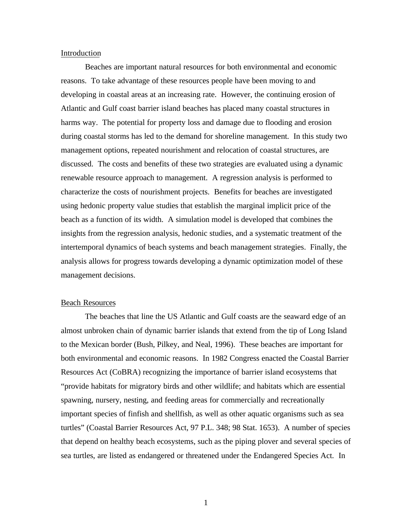#### Introduction

Beaches are important natural resources for both environmental and economic reasons. To take advantage of these resources people have been moving to and developing in coastal areas at an increasing rate. However, the continuing erosion of Atlantic and Gulf coast barrier island beaches has placed many coastal structures in harms way. The potential for property loss and damage due to flooding and erosion during coastal storms has led to the demand for shoreline management. In this study two management options, repeated nourishment and relocation of coastal structures, are discussed. The costs and benefits of these two strategies are evaluated using a dynamic renewable resource approach to management. A regression analysis is performed to characterize the costs of nourishment projects. Benefits for beaches are investigated using hedonic property value studies that establish the marginal implicit price of the beach as a function of its width. A simulation model is developed that combines the insights from the regression analysis, hedonic studies, and a systematic treatment of the intertemporal dynamics of beach systems and beach management strategies. Finally, the analysis allows for progress towards developing a dynamic optimization model of these management decisions.

## Beach Resources

The beaches that line the US Atlantic and Gulf coasts are the seaward edge of an almost unbroken chain of dynamic barrier islands that extend from the tip of Long Island to the Mexican border (Bush, Pilkey, and Neal, 1996). These beaches are important for both environmental and economic reasons. In 1982 Congress enacted the Coastal Barrier Resources Act (CoBRA) recognizing the importance of barrier island ecosystems that "provide habitats for migratory birds and other wildlife; and habitats which are essential spawning, nursery, nesting, and feeding areas for commercially and recreationally important species of finfish and shellfish, as well as other aquatic organisms such as sea turtles" (Coastal Barrier Resources Act, 97 P.L. 348; 98 Stat. 1653). A number of species that depend on healthy beach ecosystems, such as the piping plover and several species of sea turtles, are listed as endangered or threatened under the Endangered Species Act. In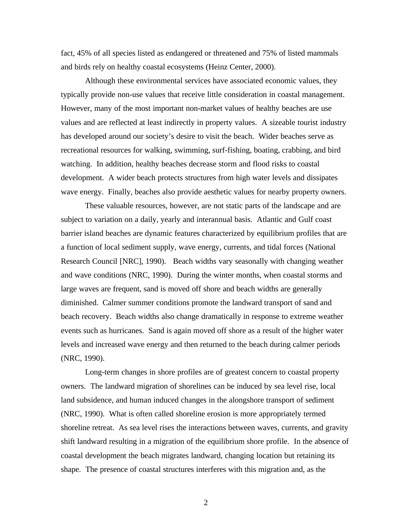fact, 45% of all species listed as endangered or threatened and 75% of listed mammals and birds rely on healthy coastal ecosystems (Heinz Center, 2000).

Although these environmental services have associated economic values, they typically provide non-use values that receive little consideration in coastal management. However, many of the most important non-market values of healthy beaches are use values and are reflected at least indirectly in property values. A sizeable tourist industry has developed around our society's desire to visit the beach. Wider beaches serve as recreational resources for walking, swimming, surf-fishing, boating, crabbing, and bird watching. In addition, healthy beaches decrease storm and flood risks to coastal development. A wider beach protects structures from high water levels and dissipates wave energy. Finally, beaches also provide aesthetic values for nearby property owners.

These valuable resources, however, are not static parts of the landscape and are subject to variation on a daily, yearly and interannual basis. Atlantic and Gulf coast barrier island beaches are dynamic features characterized by equilibrium profiles that are a function of local sediment supply, wave energy, currents, and tidal forces (National Research Council [NRC], 1990). Beach widths vary seasonally with changing weather and wave conditions (NRC, 1990). During the winter months, when coastal storms and large waves are frequent, sand is moved off shore and beach widths are generally diminished. Calmer summer conditions promote the landward transport of sand and beach recovery. Beach widths also change dramatically in response to extreme weather events such as hurricanes. Sand is again moved off shore as a result of the higher water levels and increased wave energy and then returned to the beach during calmer periods (NRC, 1990).

Long-term changes in shore profiles are of greatest concern to coastal property owners. The landward migration of shorelines can be induced by sea level rise, local land subsidence, and human induced changes in the alongshore transport of sediment (NRC, 1990). What is often called shoreline erosion is more appropriately termed shoreline retreat. As sea level rises the interactions between waves, currents, and gravity shift landward resulting in a migration of the equilibrium shore profile. In the absence of coastal development the beach migrates landward, changing location but retaining its shape. The presence of coastal structures interferes with this migration and, as the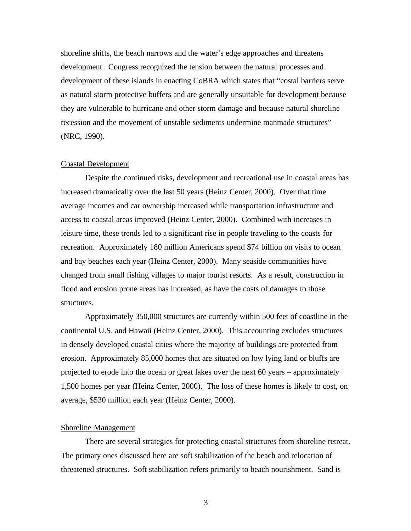shoreline shifts, the beach narrows and the water's edge approaches and threatens development. Congress recognized the tension between the natural processes and development of these islands in enacting CoBRA which states that "costal barriers serve as natural storm protective buffers and are generally unsuitable for development because they are vulnerable to hurricane and other storm damage and because natural shoreline recession and the movement of unstable sediments undermine manmade structures" (NRC, 1990).

# Coastal Development

Despite the continued risks, development and recreational use in coastal areas has increased dramatically over the last 50 years (Heinz Center, 2000). Over that time average incomes and car ownership increased while transportation infrastructure and access to coastal areas improved (Heinz Center, 2000). Combined with increases in leisure time, these trends led to a significant rise in people traveling to the coasts for recreation. Approximately 180 million Americans spend \$74 billion on visits to ocean and bay beaches each year (Heinz Center, 2000). Many seaside communities have changed from small fishing villages to major tourist resorts. As a result, construction in flood and erosion prone areas has increased, as have the costs of damages to those structures.

Approximately 350,000 structures are currently within 500 feet of coastline in the continental U.S. and Hawaii (Heinz Center, 2000). This accounting excludes structures in densely developed coastal cities where the majority of buildings are protected from erosion. Approximately 85,000 homes that are situated on low lying land or bluffs are projected to erode into the ocean or great lakes over the next 60 years – approximately 1,500 homes per year (Heinz Center, 2000). The loss of these homes is likely to cost, on average, \$530 million each year (Heinz Center, 2000).

# Shoreline Management

There are several strategies for protecting coastal structures from shoreline retreat. The primary ones discussed here are soft stabilization of the beach and relocation of threatened structures. Soft stabilization refers primarily to beach nourishment. Sand is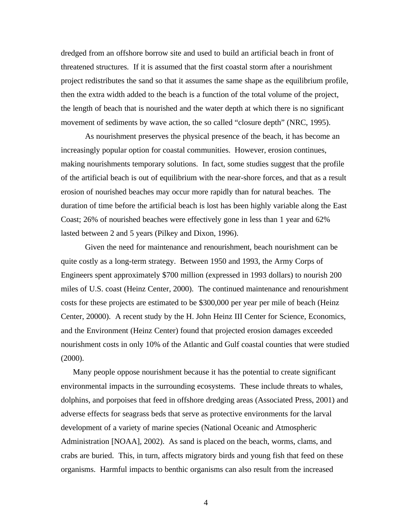dredged from an offshore borrow site and used to build an artificial beach in front of threatened structures. If it is assumed that the first coastal storm after a nourishment project redistributes the sand so that it assumes the same shape as the equilibrium profile, then the extra width added to the beach is a function of the total volume of the project, the length of beach that is nourished and the water depth at which there is no significant movement of sediments by wave action, the so called "closure depth" (NRC, 1995).

As nourishment preserves the physical presence of the beach, it has become an increasingly popular option for coastal communities. However, erosion continues, making nourishments temporary solutions. In fact, some studies suggest that the profile of the artificial beach is out of equilibrium with the near-shore forces, and that as a result erosion of nourished beaches may occur more rapidly than for natural beaches. The duration of time before the artificial beach is lost has been highly variable along the East Coast; 26% of nourished beaches were effectively gone in less than 1 year and 62% lasted between 2 and 5 years (Pilkey and Dixon, 1996).

Given the need for maintenance and renourishment, beach nourishment can be quite costly as a long-term strategy. Between 1950 and 1993, the Army Corps of Engineers spent approximately \$700 million (expressed in 1993 dollars) to nourish 200 miles of U.S. coast (Heinz Center, 2000). The continued maintenance and renourishment costs for these projects are estimated to be \$300,000 per year per mile of beach (Heinz Center, 20000). A recent study by the H. John Heinz III Center for Science, Economics, and the Environment (Heinz Center) found that projected erosion damages exceeded nourishment costs in only 10% of the Atlantic and Gulf coastal counties that were studied (2000).

Many people oppose nourishment because it has the potential to create significant environmental impacts in the surrounding ecosystems. These include threats to whales, dolphins, and porpoises that feed in offshore dredging areas (Associated Press, 2001) and adverse effects for seagrass beds that serve as protective environments for the larval development of a variety of marine species (National Oceanic and Atmospheric Administration [NOAA], 2002). As sand is placed on the beach, worms, clams, and crabs are buried. This, in turn, affects migratory birds and young fish that feed on these organisms. Harmful impacts to benthic organisms can also result from the increased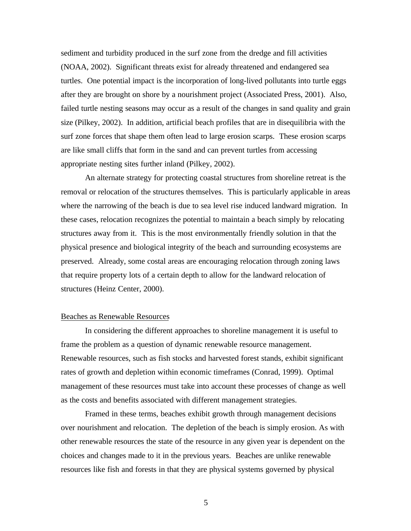sediment and turbidity produced in the surf zone from the dredge and fill activities (NOAA, 2002). Significant threats exist for already threatened and endangered sea turtles. One potential impact is the incorporation of long-lived pollutants into turtle eggs after they are brought on shore by a nourishment project (Associated Press, 2001). Also, failed turtle nesting seasons may occur as a result of the changes in sand quality and grain size (Pilkey, 2002). In addition, artificial beach profiles that are in disequilibria with the surf zone forces that shape them often lead to large erosion scarps. These erosion scarps are like small cliffs that form in the sand and can prevent turtles from accessing appropriate nesting sites further inland (Pilkey, 2002).

An alternate strategy for protecting coastal structures from shoreline retreat is the removal or relocation of the structures themselves. This is particularly applicable in areas where the narrowing of the beach is due to sea level rise induced landward migration. In these cases, relocation recognizes the potential to maintain a beach simply by relocating structures away from it. This is the most environmentally friendly solution in that the physical presence and biological integrity of the beach and surrounding ecosystems are preserved. Already, some costal areas are encouraging relocation through zoning laws that require property lots of a certain depth to allow for the landward relocation of structures (Heinz Center, 2000).

# Beaches as Renewable Resources

In considering the different approaches to shoreline management it is useful to frame the problem as a question of dynamic renewable resource management. Renewable resources, such as fish stocks and harvested forest stands, exhibit significant rates of growth and depletion within economic timeframes (Conrad, 1999). Optimal management of these resources must take into account these processes of change as well as the costs and benefits associated with different management strategies.

Framed in these terms, beaches exhibit growth through management decisions over nourishment and relocation. The depletion of the beach is simply erosion. As with other renewable resources the state of the resource in any given year is dependent on the choices and changes made to it in the previous years. Beaches are unlike renewable resources like fish and forests in that they are physical systems governed by physical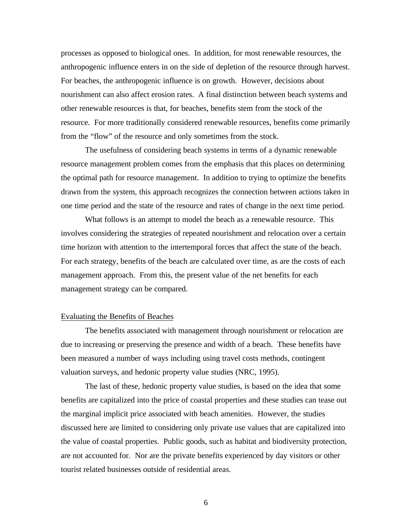processes as opposed to biological ones. In addition, for most renewable resources, the anthropogenic influence enters in on the side of depletion of the resource through harvest. For beaches, the anthropogenic influence is on growth. However, decisions about nourishment can also affect erosion rates. A final distinction between beach systems and other renewable resources is that, for beaches, benefits stem from the stock of the resource. For more traditionally considered renewable resources, benefits come primarily from the "flow" of the resource and only sometimes from the stock.

The usefulness of considering beach systems in terms of a dynamic renewable resource management problem comes from the emphasis that this places on determining the optimal path for resource management. In addition to trying to optimize the benefits drawn from the system, this approach recognizes the connection between actions taken in one time period and the state of the resource and rates of change in the next time period.

What follows is an attempt to model the beach as a renewable resource. This involves considering the strategies of repeated nourishment and relocation over a certain time horizon with attention to the intertemporal forces that affect the state of the beach. For each strategy, benefits of the beach are calculated over time, as are the costs of each management approach. From this, the present value of the net benefits for each management strategy can be compared.

### Evaluating the Benefits of Beaches

The benefits associated with management through nourishment or relocation are due to increasing or preserving the presence and width of a beach. These benefits have been measured a number of ways including using travel costs methods, contingent valuation surveys, and hedonic property value studies (NRC, 1995).

The last of these, hedonic property value studies, is based on the idea that some benefits are capitalized into the price of coastal properties and these studies can tease out the marginal implicit price associated with beach amenities. However, the studies discussed here are limited to considering only private use values that are capitalized into the value of coastal properties. Public goods, such as habitat and biodiversity protection, are not accounted for. Nor are the private benefits experienced by day visitors or other tourist related businesses outside of residential areas.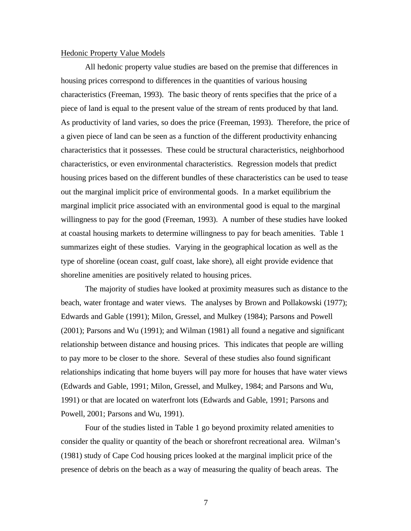#### Hedonic Property Value Models

All hedonic property value studies are based on the premise that differences in housing prices correspond to differences in the quantities of various housing characteristics (Freeman, 1993). The basic theory of rents specifies that the price of a piece of land is equal to the present value of the stream of rents produced by that land. As productivity of land varies, so does the price (Freeman, 1993). Therefore, the price of a given piece of land can be seen as a function of the different productivity enhancing characteristics that it possesses. These could be structural characteristics, neighborhood characteristics, or even environmental characteristics. Regression models that predict housing prices based on the different bundles of these characteristics can be used to tease out the marginal implicit price of environmental goods. In a market equilibrium the marginal implicit price associated with an environmental good is equal to the marginal willingness to pay for the good (Freeman, 1993). A number of these studies have looked at coastal housing markets to determine willingness to pay for beach amenities. Table 1 summarizes eight of these studies. Varying in the geographical location as well as the type of shoreline (ocean coast, gulf coast, lake shore), all eight provide evidence that shoreline amenities are positively related to housing prices.

The majority of studies have looked at proximity measures such as distance to the beach, water frontage and water views. The analyses by Brown and Pollakowski (1977); Edwards and Gable (1991); Milon, Gressel, and Mulkey (1984); Parsons and Powell (2001); Parsons and Wu (1991); and Wilman (1981) all found a negative and significant relationship between distance and housing prices. This indicates that people are willing to pay more to be closer to the shore. Several of these studies also found significant relationships indicating that home buyers will pay more for houses that have water views (Edwards and Gable, 1991; Milon, Gressel, and Mulkey, 1984; and Parsons and Wu, 1991) or that are located on waterfront lots (Edwards and Gable, 1991; Parsons and Powell, 2001; Parsons and Wu, 1991).

Four of the studies listed in Table 1 go beyond proximity related amenities to consider the quality or quantity of the beach or shorefront recreational area. Wilman's (1981) study of Cape Cod housing prices looked at the marginal implicit price of the presence of debris on the beach as a way of measuring the quality of beach areas. The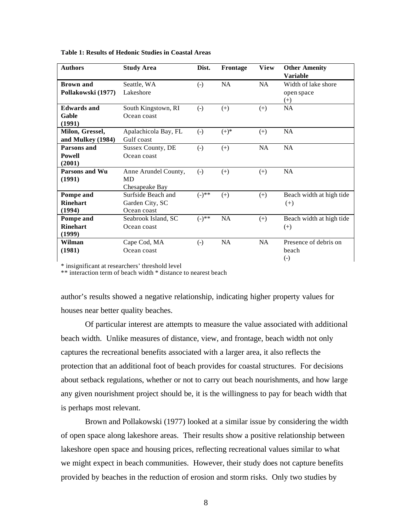| <b>Authors</b>     | Dist.<br><b>Study Area</b><br>Frontage |                                           | <b>View</b> | <b>Other Amenity</b> |                          |
|--------------------|----------------------------------------|-------------------------------------------|-------------|----------------------|--------------------------|
|                    |                                        |                                           |             |                      | <b>Variable</b>          |
| Brown and          | Seattle, WA                            | $\left( -\right)$                         | NA          | NA                   | Width of lake shore      |
| Pollakowski (1977) | Lakeshore                              |                                           |             |                      | open space               |
|                    |                                        |                                           |             |                      | $^{(+)}$                 |
| <b>Edwards</b> and | South Kingstown, RI                    | $\left( -\right)$<br>$^{(+)}$<br>$^{(+)}$ |             | NA                   |                          |
| Gable              | Ocean coast                            |                                           |             |                      |                          |
| (1991)             |                                        |                                           |             |                      |                          |
| Milon, Gressel,    | Apalachicola Bay, FL                   | $\left( -\right)$                         | $(+)^{*}$   | $(+)$                | NA                       |
| and Mulkey (1984)  | Gulf coast                             |                                           |             |                      |                          |
| Parsons and        | Sussex County, DE                      | $\left( -\right)$                         | $(+)$       | <b>NA</b>            | NA                       |
| Powell             | Ocean coast                            |                                           |             |                      |                          |
| (2001)             |                                        |                                           |             |                      |                          |
| Parsons and Wu     | Anne Arundel County,                   | $\left( -\right)$                         | $(+)$       | $(+)$                | NA                       |
| (1991)             | <b>MD</b>                              |                                           |             |                      |                          |
|                    | Chesapeake Bay                         |                                           |             |                      |                          |
| Pompe and          | Surfside Beach and                     | $(-)^{**}$                                | $(+)$       | $(+)$                | Beach width at high tide |
| <b>Rinehart</b>    | Garden City, SC                        |                                           |             |                      | $^{(+)}$                 |
| (1994)             | Ocean coast                            |                                           |             |                      |                          |
| Pompe and          | Seabrook Island, SC                    | $(-)^{**}$                                | <b>NA</b>   | $(+)$                | Beach width at high tide |
| <b>Rinehart</b>    | Ocean coast                            |                                           |             |                      | $^{(+)}$                 |
| (1999)             |                                        |                                           |             |                      |                          |
| Wilman             | Cape Cod, MA                           | $\left( -\right)$                         | NA          | <b>NA</b>            | Presence of debris on    |
| (1981)             | Ocean coast                            |                                           |             |                      | heach                    |
|                    |                                        |                                           |             |                      | $\left( -\right)$        |

**Table 1: Results of Hedonic Studies in Coastal Areas**

\* insignificant at researchers' threshold level

\*\* interaction term of beach width \* distance to nearest beach

author's results showed a negative relationship, indicating higher property values for houses near better quality beaches.

Of particular interest are attempts to measure the value associated with additional beach width. Unlike measures of distance, view, and frontage, beach width not only captures the recreational benefits associated with a larger area, it also reflects the protection that an additional foot of beach provides for coastal structures. For decisions about setback regulations, whether or not to carry out beach nourishments, and how large any given nourishment project should be, it is the willingness to pay for beach width that is perhaps most relevant.

Brown and Pollakowski (1977) looked at a similar issue by considering the width of open space along lakeshore areas. Their results show a positive relationship between lakeshore open space and housing prices, reflecting recreational values similar to what we might expect in beach communities. However, their study does not capture benefits provided by beaches in the reduction of erosion and storm risks. Only two studies by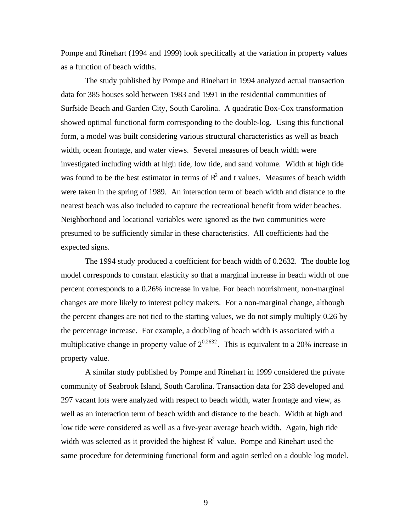Pompe and Rinehart (1994 and 1999) look specifically at the variation in property values as a function of beach widths.

The study published by Pompe and Rinehart in 1994 analyzed actual transaction data for 385 houses sold between 1983 and 1991 in the residential communities of Surfside Beach and Garden City, South Carolina. A quadratic Box-Cox transformation showed optimal functional form corresponding to the double-log. Using this functional form, a model was built considering various structural characteristics as well as beach width, ocean frontage, and water views. Several measures of beach width were investigated including width at high tide, low tide, and sand volume. Width at high tide was found to be the best estimator in terms of  $R^2$  and t values. Measures of beach width were taken in the spring of 1989. An interaction term of beach width and distance to the nearest beach was also included to capture the recreational benefit from wider beaches. Neighborhood and locational variables were ignored as the two communities were presumed to be sufficiently similar in these characteristics. All coefficients had the expected signs.

The 1994 study produced a coefficient for beach width of 0.2632. The double log model corresponds to constant elasticity so that a marginal increase in beach width of one percent corresponds to a 0.26% increase in value. For beach nourishment, non-marginal changes are more likely to interest policy makers. For a non-marginal change, although the percent changes are not tied to the starting values, we do not simply multiply 0.26 by the percentage increase. For example, a doubling of beach width is associated with a multiplicative change in property value of  $2^{0.2632}$ . This is equivalent to a 20% increase in property value.

A similar study published by Pompe and Rinehart in 1999 considered the private community of Seabrook Island, South Carolina. Transaction data for 238 developed and 297 vacant lots were analyzed with respect to beach width, water frontage and view, as well as an interaction term of beach width and distance to the beach. Width at high and low tide were considered as well as a five-year average beach width. Again, high tide width was selected as it provided the highest  $R^2$  value. Pompe and Rinehart used the same procedure for determining functional form and again settled on a double log model.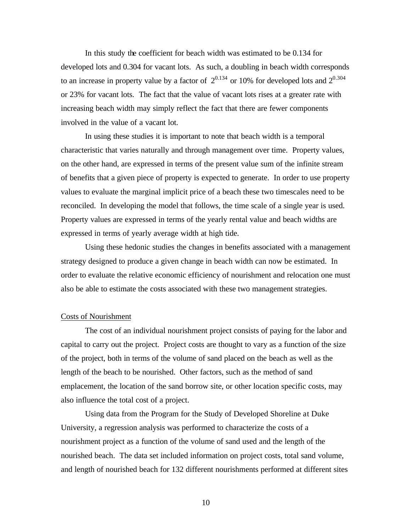In this study the coefficient for beach width was estimated to be 0.134 for developed lots and 0.304 for vacant lots. As such, a doubling in beach width corresponds to an increase in property value by a factor of  $2^{0.134}$  or 10% for developed lots and  $2^{0.304}$ or 23% for vacant lots. The fact that the value of vacant lots rises at a greater rate with increasing beach width may simply reflect the fact that there are fewer components involved in the value of a vacant lot.

In using these studies it is important to note that beach width is a temporal characteristic that varies naturally and through management over time. Property values, on the other hand, are expressed in terms of the present value sum of the infinite stream of benefits that a given piece of property is expected to generate. In order to use property values to evaluate the marginal implicit price of a beach these two timescales need to be reconciled. In developing the model that follows, the time scale of a single year is used. Property values are expressed in terms of the yearly rental value and beach widths are expressed in terms of yearly average width at high tide.

Using these hedonic studies the changes in benefits associated with a management strategy designed to produce a given change in beach width can now be estimated. In order to evaluate the relative economic efficiency of nourishment and relocation one must also be able to estimate the costs associated with these two management strategies.

### Costs of Nourishment

The cost of an individual nourishment project consists of paying for the labor and capital to carry out the project. Project costs are thought to vary as a function of the size of the project, both in terms of the volume of sand placed on the beach as well as the length of the beach to be nourished. Other factors, such as the method of sand emplacement, the location of the sand borrow site, or other location specific costs, may also influence the total cost of a project.

Using data from the Program for the Study of Developed Shoreline at Duke University, a regression analysis was performed to characterize the costs of a nourishment project as a function of the volume of sand used and the length of the nourished beach. The data set included information on project costs, total sand volume, and length of nourished beach for 132 different nourishments performed at different sites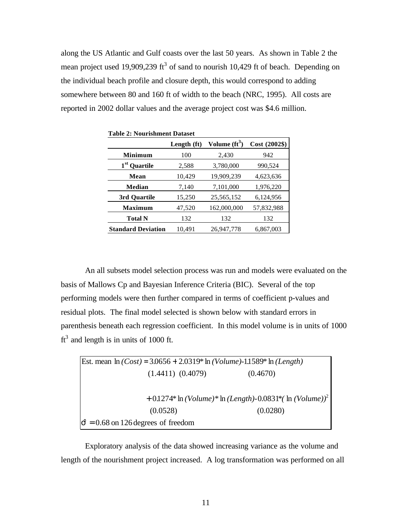along the US Atlantic and Gulf coasts over the last 50 years. As shown in Table 2 the mean project used 19,909,239 ft<sup>3</sup> of sand to nourish 10,429 ft of beach. Depending on the individual beach profile and closure depth, this would correspond to adding somewhere between 80 and 160 ft of width to the beach (NRC, 1995). All costs are reported in 2002 dollar values and the average project cost was \$4.6 million.

| <b>Table 2: Nourishment Dataset</b> |             |                         |               |  |  |
|-------------------------------------|-------------|-------------------------|---------------|--|--|
|                                     | Length (ft) | Volume $\text{fft}^3$ ) | Cost (2002\$) |  |  |
| <b>Minimum</b>                      | 100         | 2,430                   | 942           |  |  |
| 1 <sup>st</sup> Quartile            | 2,588       | 3,780,000               | 990,524       |  |  |
| Mean                                | 10,429      | 19,909,239              | 4,623,636     |  |  |
| Median                              | 7,140       | 7,101,000               | 1,976,220     |  |  |
| 3rd Quartile                        | 15,250      | 25,565,152              | 6,124,956     |  |  |
| <b>Maximum</b>                      | 47,520      | 162,000,000             | 57,832,988    |  |  |
| <b>Total N</b>                      | 132         | 132                     | 132           |  |  |
| <b>Standard Deviation</b>           | 10,491      | 26,947,778              | 6,867,003     |  |  |

An all subsets model selection process was run and models were evaluated on the basis of Mallows Cp and Bayesian Inference Criteria (BIC). Several of the top performing models were then further compared in terms of coefficient p-values and residual plots. The final model selected is shown below with standard errors in parenthesis beneath each regression coefficient. In this model volume is in units of 1000  $ft<sup>3</sup>$  and length is in units of 1000 ft.

Est. mean ln 
$$
(Cost) = 3.0656 + 2.0319
$$
 \* ln  $(Volume)$ -1.1589\* ln  $(Length)$   
\n(1.4411) (0.4079) (0.4670)  
\n+ 0.1274\* ln  $(Volume)$  \* ln  $(Length)$ -0.0831\*  $(ln (Volume)$ )<sup>2</sup>  
\n(0.0528) (0.0280)  
\n $\hat{\mathbf{s}} = 0.68$  on 126 degrees of freedom

Exploratory analysis of the data showed increasing variance as the volume and length of the nourishment project increased. A log transformation was performed on all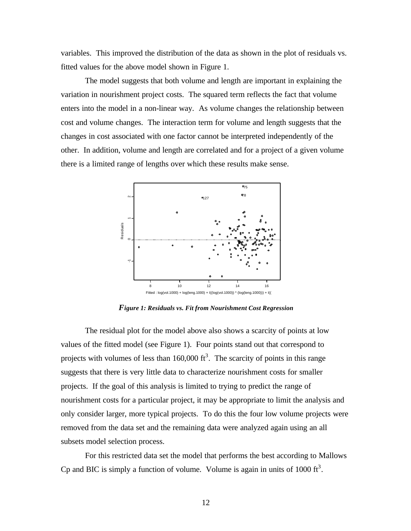variables. This improved the distribution of the data as shown in the plot of residuals vs. fitted values for the above model shown in Figure 1.

The model suggests that both volume and length are important in explaining the variation in nourishment project costs. The squared term reflects the fact that volume enters into the model in a non-linear way. As volume changes the relationship between cost and volume changes. The interaction term for volume and length suggests that the changes in cost associated with one factor cannot be interpreted independently of the other. In addition, volume and length are correlated and for a project of a given volume there is a limited range of lengths over which these results make sense.



*Figure 1: Residuals vs. Fit from Nourishment Cost Regression*

The residual plot for the model above also shows a scarcity of points at low values of the fitted model (see Figure 1). Four points stand out that correspond to projects with volumes of less than  $160,000$  ft<sup>3</sup>. The scarcity of points in this range suggests that there is very little data to characterize nourishment costs for smaller projects. If the goal of this analysis is limited to trying to predict the range of nourishment costs for a particular project, it may be appropriate to limit the analysis and only consider larger, more typical projects. To do this the four low volume projects were removed from the data set and the remaining data were analyzed again using an all subsets model selection process.

For this restricted data set the model that performs the best according to Mallows Cp and BIC is simply a function of volume. Volume is again in units of 1000  $\text{ft}^3$ .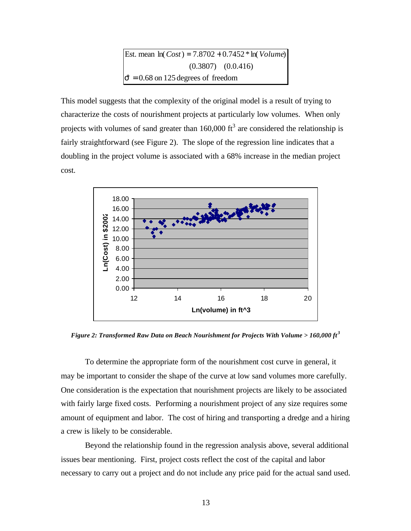Est. mean 
$$
\ln(Cost) = 7.8702 + 0.7452 * \ln(Volume)
$$
  
(0.3807) (0.0.416)  
 $\hat{s} = 0.68$  on 125 degrees of freedom

This model suggests that the complexity of the original model is a result of trying to characterize the costs of nourishment projects at particularly low volumes. When only projects with volumes of sand greater than  $160,000$  ft<sup>3</sup> are considered the relationship is fairly straightforward (see Figure 2). The slope of the regression line indicates that a doubling in the project volume is associated with a 68% increase in the median project cost.



*Figure 2: Transformed Raw Data on Beach Nourishment for Projects With Volume > 160,000 ft <sup>3</sup>*

To determine the appropriate form of the nourishment cost curve in general, it may be important to consider the shape of the curve at low sand volumes more carefully. One consideration is the expectation that nourishment projects are likely to be associated with fairly large fixed costs. Performing a nourishment project of any size requires some amount of equipment and labor. The cost of hiring and transporting a dredge and a hiring a crew is likely to be considerable.

Beyond the relationship found in the regression analysis above, several additional issues bear mentioning. First, project costs reflect the cost of the capital and labor necessary to carry out a project and do not include any price paid for the actual sand used.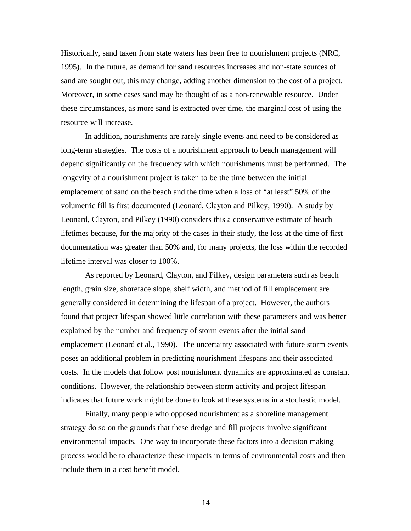Historically, sand taken from state waters has been free to nourishment projects (NRC, 1995). In the future, as demand for sand resources increases and non-state sources of sand are sought out, this may change, adding another dimension to the cost of a project. Moreover, in some cases sand may be thought of as a non-renewable resource. Under these circumstances, as more sand is extracted over time, the marginal cost of using the resource will increase.

In addition, nourishments are rarely single events and need to be considered as long-term strategies. The costs of a nourishment approach to beach management will depend significantly on the frequency with which nourishments must be performed. The longevity of a nourishment project is taken to be the time between the initial emplacement of sand on the beach and the time when a loss of "at least" 50% of the volumetric fill is first documented (Leonard, Clayton and Pilkey, 1990). A study by Leonard, Clayton, and Pilkey (1990) considers this a conservative estimate of beach lifetimes because, for the majority of the cases in their study, the loss at the time of first documentation was greater than 50% and, for many projects, the loss within the recorded lifetime interval was closer to 100%.

As reported by Leonard, Clayton, and Pilkey, design parameters such as beach length, grain size, shoreface slope, shelf width, and method of fill emplacement are generally considered in determining the lifespan of a project. However, the authors found that project lifespan showed little correlation with these parameters and was better explained by the number and frequency of storm events after the initial sand emplacement (Leonard et al., 1990). The uncertainty associated with future storm events poses an additional problem in predicting nourishment lifespans and their associated costs. In the models that follow post nourishment dynamics are approximated as constant conditions. However, the relationship between storm activity and project lifespan indicates that future work might be done to look at these systems in a stochastic model.

Finally, many people who opposed nourishment as a shoreline management strategy do so on the grounds that these dredge and fill projects involve significant environmental impacts. One way to incorporate these factors into a decision making process would be to characterize these impacts in terms of environmental costs and then include them in a cost benefit model.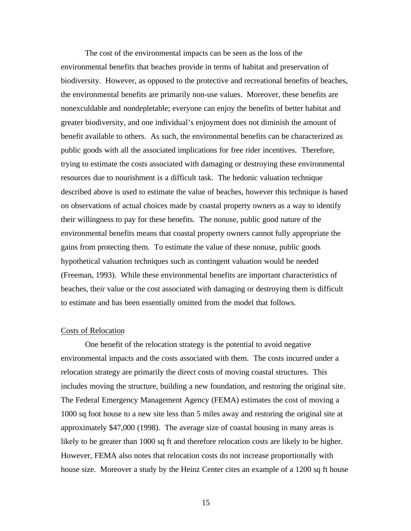The cost of the environmental impacts can be seen as the loss of the environmental benefits that beaches provide in terms of habitat and preservation of biodiversity. However, as opposed to the protective and recreational benefits of beaches, the environmental benefits are primarily non-use values. Moreover, these benefits are nonexculdable and nondepletable; everyone can enjoy the benefits of better habitat and greater biodiversity, and one individual's enjoyment does not diminish the amount of benefit available to others. As such, the environmental benefits can be characterized as public goods with all the associated implications for free rider incentives. Therefore, trying to estimate the costs associated with damaging or destroying these environmental resources due to nourishment is a difficult task. The hedonic valuation technique described above is used to estimate the value of beaches, however this technique is based on observations of actual choices made by coastal property owners as a way to identify their willingness to pay for these benefits. The nonuse, public good nature of the environmental benefits means that coastal property owners cannot fully appropriate the gains from protecting them. To estimate the value of these nonuse, public goods hypothetical valuation techniques such as contingent valuation would be needed (Freeman, 1993). While these environmental benefits are important characteristics of beaches, their value or the cost associated with damaging or destroying them is difficult to estimate and has been essentially omitted from the model that follows.

#### Costs of Relocation

One benefit of the relocation strategy is the potential to avoid negative environmental impacts and the costs associated with them. The costs incurred under a relocation strategy are primarily the direct costs of moving coastal structures. This includes moving the structure, building a new foundation, and restoring the original site. The Federal Emergency Management Agency (FEMA) estimates the cost of moving a 1000 sq foot house to a new site less than 5 miles away and restoring the original site at approximately \$47,000 (1998). The average size of coastal housing in many areas is likely to be greater than 1000 sq ft and therefore relocation costs are likely to be higher. However, FEMA also notes that relocation costs do not increase proportionally with house size. Moreover a study by the Heinz Center cites an example of a 1200 sq ft house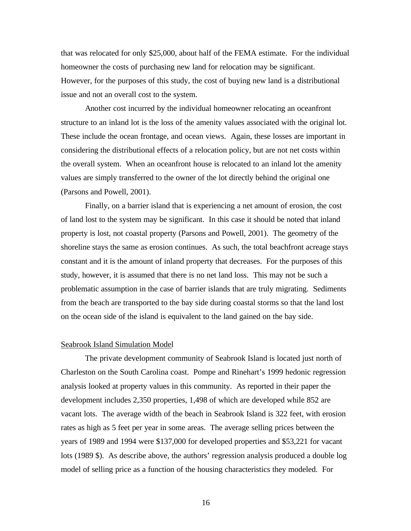that was relocated for only \$25,000, about half of the FEMA estimate. For the individual homeowner the costs of purchasing new land for relocation may be significant. However, for the purposes of this study, the cost of buying new land is a distributional issue and not an overall cost to the system.

Another cost incurred by the individual homeowner relocating an oceanfront structure to an inland lot is the loss of the amenity values associated with the original lot. These include the ocean frontage, and ocean views. Again, these losses are important in considering the distributional effects of a relocation policy, but are not net costs within the overall system. When an oceanfront house is relocated to an inland lot the amenity values are simply transferred to the owner of the lot directly behind the original one (Parsons and Powell, 2001).

Finally, on a barrier island that is experiencing a net amount of erosion, the cost of land lost to the system may be significant. In this case it should be noted that inland property is lost, not coastal property (Parsons and Powell, 2001). The geometry of the shoreline stays the same as erosion continues. As such, the total beachfront acreage stays constant and it is the amount of inland property that decreases. For the purposes of this study, however, it is assumed that there is no net land loss. This may not be such a problematic assumption in the case of barrier islands that are truly migrating. Sediments from the beach are transported to the bay side during coastal storms so that the land lost on the ocean side of the island is equivalent to the land gained on the bay side.

# Seabrook Island Simulation Model

The private development community of Seabrook Island is located just north of Charleston on the South Carolina coast. Pompe and Rinehart's 1999 hedonic regression analysis looked at property values in this community. As reported in their paper the development includes 2,350 properties, 1,498 of which are developed while 852 are vacant lots. The average width of the beach in Seabrook Island is 322 feet, with erosion rates as high as 5 feet per year in some areas. The average selling prices between the years of 1989 and 1994 were \$137,000 for developed properties and \$53,221 for vacant lots (1989 \$). As describe above, the authors' regression analysis produced a double log model of selling price as a function of the housing characteristics they modeled. For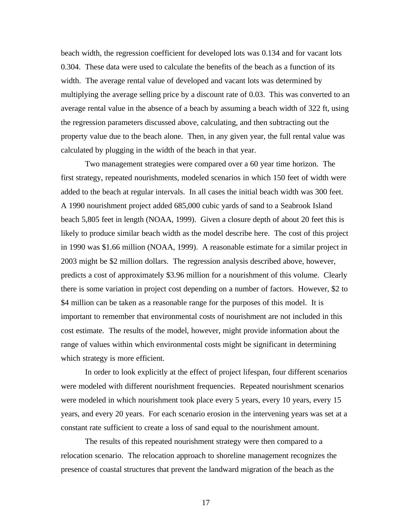beach width, the regression coefficient for developed lots was 0.134 and for vacant lots 0.304. These data were used to calculate the benefits of the beach as a function of its width. The average rental value of developed and vacant lots was determined by multiplying the average selling price by a discount rate of 0.03. This was converted to an average rental value in the absence of a beach by assuming a beach width of 322 ft, using the regression parameters discussed above, calculating, and then subtracting out the property value due to the beach alone. Then, in any given year, the full rental value was calculated by plugging in the width of the beach in that year.

Two management strategies were compared over a 60 year time horizon. The first strategy, repeated nourishments, modeled scenarios in which 150 feet of width were added to the beach at regular intervals. In all cases the initial beach width was 300 feet. A 1990 nourishment project added 685,000 cubic yards of sand to a Seabrook Island beach 5,805 feet in length (NOAA, 1999). Given a closure depth of about 20 feet this is likely to produce similar beach width as the model describe here. The cost of this project in 1990 was \$1.66 million (NOAA, 1999). A reasonable estimate for a similar project in 2003 might be \$2 million dollars. The regression analysis described above, however, predicts a cost of approximately \$3.96 million for a nourishment of this volume. Clearly there is some variation in project cost depending on a number of factors. However, \$2 to \$4 million can be taken as a reasonable range for the purposes of this model. It is important to remember that environmental costs of nourishment are not included in this cost estimate. The results of the model, however, might provide information about the range of values within which environmental costs might be significant in determining which strategy is more efficient.

In order to look explicitly at the effect of project lifespan, four different scenarios were modeled with different nourishment frequencies. Repeated nourishment scenarios were modeled in which nourishment took place every 5 years, every 10 years, every 15 years, and every 20 years. For each scenario erosion in the intervening years was set at a constant rate sufficient to create a loss of sand equal to the nourishment amount.

The results of this repeated nourishment strategy were then compared to a relocation scenario. The relocation approach to shoreline management recognizes the presence of coastal structures that prevent the landward migration of the beach as the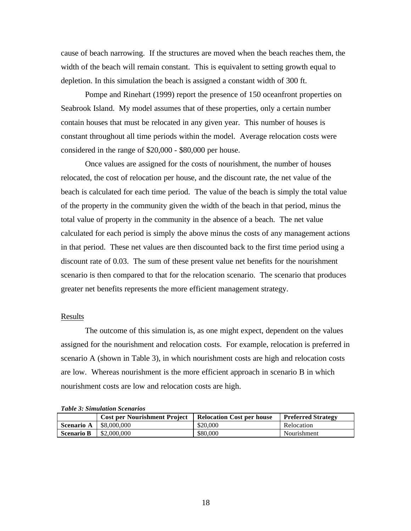cause of beach narrowing. If the structures are moved when the beach reaches them, the width of the beach will remain constant. This is equivalent to setting growth equal to depletion. In this simulation the beach is assigned a constant width of 300 ft.

Pompe and Rinehart (1999) report the presence of 150 oceanfront properties on Seabrook Island. My model assumes that of these properties, only a certain number contain houses that must be relocated in any given year. This number of houses is constant throughout all time periods within the model. Average relocation costs were considered in the range of \$20,000 - \$80,000 per house.

Once values are assigned for the costs of nourishment, the number of houses relocated, the cost of relocation per house, and the discount rate, the net value of the beach is calculated for each time period. The value of the beach is simply the total value of the property in the community given the width of the beach in that period, minus the total value of property in the community in the absence of a beach. The net value calculated for each period is simply the above minus the costs of any management actions in that period. These net values are then discounted back to the first time period using a discount rate of 0.03. The sum of these present value net benefits for the nourishment scenario is then compared to that for the relocation scenario. The scenario that produces greater net benefits represents the more efficient management strategy.

### Results

The outcome of this simulation is, as one might expect, dependent on the values assigned for the nourishment and relocation costs. For example, relocation is preferred in scenario A (shown in Table 3), in which nourishment costs are high and relocation costs are low. Whereas nourishment is the more efficient approach in scenario B in which nourishment costs are low and relocation costs are high.

|  | <b>Table 3: Simulation Scenarios</b> |  |
|--|--------------------------------------|--|
|  |                                      |  |

|                   | <b>Cost per Nourishment Project</b> | <b>Relocation Cost per house</b> | <b>Preferred Strategy</b> |
|-------------------|-------------------------------------|----------------------------------|---------------------------|
| <b>Scenario A</b> | \$8,000,000                         | \$20,000                         | Relocation                |
| <b>Scenario B</b> | \$2,000,000                         | \$80,000                         | Nourishment               |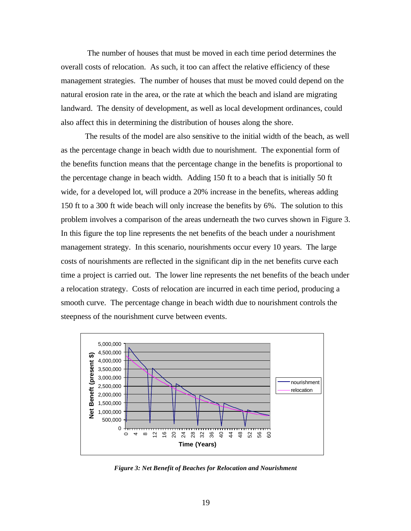The number of houses that must be moved in each time period determines the overall costs of relocation. As such, it too can affect the relative efficiency of these management strategies. The number of houses that must be moved could depend on the natural erosion rate in the area, or the rate at which the beach and island are migrating landward. The density of development, as well as local development ordinances, could also affect this in determining the distribution of houses along the shore.

The results of the model are also sensitive to the initial width of the beach, as well as the percentage change in beach width due to nourishment. The exponential form of the benefits function means that the percentage change in the benefits is proportional to the percentage change in beach width. Adding 150 ft to a beach that is initially 50 ft wide, for a developed lot, will produce a 20% increase in the benefits, whereas adding 150 ft to a 300 ft wide beach will only increase the benefits by 6%. The solution to this problem involves a comparison of the areas underneath the two curves shown in Figure 3. In this figure the top line represents the net benefits of the beach under a nourishment management strategy. In this scenario, nourishments occur every 10 years. The large costs of nourishments are reflected in the significant dip in the net benefits curve each time a project is carried out. The lower line represents the net benefits of the beach under a relocation strategy. Costs of relocation are incurred in each time period, producing a smooth curve. The percentage change in beach width due to nourishment controls the steepness of the nourishment curve between events.



*Figure 3: Net Benefit of Beaches for Relocation and Nourishment*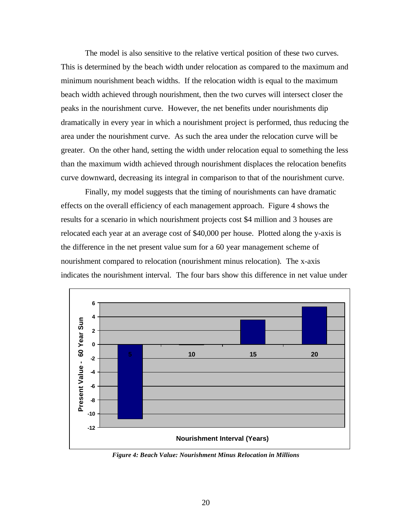The model is also sensitive to the relative vertical position of these two curves. This is determined by the beach width under relocation as compared to the maximum and minimum nourishment beach widths. If the relocation width is equal to the maximum beach width achieved through nourishment, then the two curves will intersect closer the peaks in the nourishment curve. However, the net benefits under nourishments dip dramatically in every year in which a nourishment project is performed, thus reducing the area under the nourishment curve. As such the area under the relocation curve will be greater. On the other hand, setting the width under relocation equal to something the less than the maximum width achieved through nourishment displaces the relocation benefits curve downward, decreasing its integral in comparison to that of the nourishment curve.

Finally, my model suggests that the timing of nourishments can have dramatic effects on the overall efficiency of each management approach. Figure 4 shows the results for a scenario in which nourishment projects cost \$4 million and 3 houses are relocated each year at an average cost of \$40,000 per house. Plotted along the y-axis is the difference in the net present value sum for a 60 year management scheme of nourishment compared to relocation (nourishment minus relocation). The x-axis indicates the nourishment interval. The four bars show this difference in net value under



*Figure 4: Beach Value: Nourishment Minus Relocation in Millions*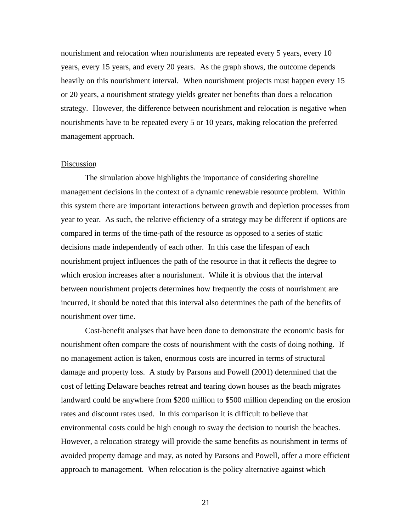nourishment and relocation when nourishments are repeated every 5 years, every 10 years, every 15 years, and every 20 years. As the graph shows, the outcome depends heavily on this nourishment interval. When nourishment projects must happen every 15 or 20 years, a nourishment strategy yields greater net benefits than does a relocation strategy. However, the difference between nourishment and relocation is negative when nourishments have to be repeated every 5 or 10 years, making relocation the preferred management approach.

# Discussion

The simulation above highlights the importance of considering shoreline management decisions in the context of a dynamic renewable resource problem. Within this system there are important interactions between growth and depletion processes from year to year. As such, the relative efficiency of a strategy may be different if options are compared in terms of the time-path of the resource as opposed to a series of static decisions made independently of each other. In this case the lifespan of each nourishment project influences the path of the resource in that it reflects the degree to which erosion increases after a nourishment. While it is obvious that the interval between nourishment projects determines how frequently the costs of nourishment are incurred, it should be noted that this interval also determines the path of the benefits of nourishment over time.

Cost-benefit analyses that have been done to demonstrate the economic basis for nourishment often compare the costs of nourishment with the costs of doing nothing. If no management action is taken, enormous costs are incurred in terms of structural damage and property loss. A study by Parsons and Powell (2001) determined that the cost of letting Delaware beaches retreat and tearing down houses as the beach migrates landward could be anywhere from \$200 million to \$500 million depending on the erosion rates and discount rates used. In this comparison it is difficult to believe that environmental costs could be high enough to sway the decision to nourish the beaches. However, a relocation strategy will provide the same benefits as nourishment in terms of avoided property damage and may, as noted by Parsons and Powell, offer a more efficient approach to management. When relocation is the policy alternative against which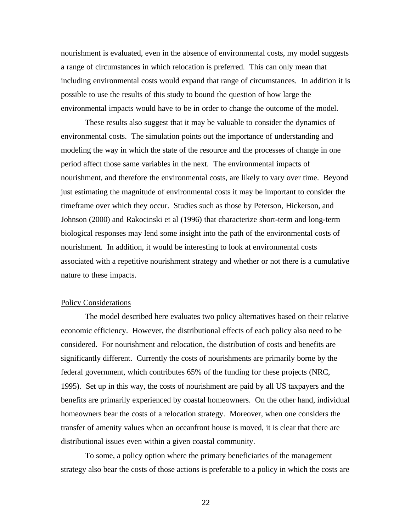nourishment is evaluated, even in the absence of environmental costs, my model suggests a range of circumstances in which relocation is preferred. This can only mean that including environmental costs would expand that range of circumstances. In addition it is possible to use the results of this study to bound the question of how large the environmental impacts would have to be in order to change the outcome of the model.

These results also suggest that it may be valuable to consider the dynamics of environmental costs. The simulation points out the importance of understanding and modeling the way in which the state of the resource and the processes of change in one period affect those same variables in the next. The environmental impacts of nourishment, and therefore the environmental costs, are likely to vary over time. Beyond just estimating the magnitude of environmental costs it may be important to consider the timeframe over which they occur. Studies such as those by Peterson, Hickerson, and Johnson (2000) and Rakocinski et al (1996) that characterize short-term and long-term biological responses may lend some insight into the path of the environmental costs of nourishment. In addition, it would be interesting to look at environmental costs associated with a repetitive nourishment strategy and whether or not there is a cumulative nature to these impacts.

# Policy Considerations

The model described here evaluates two policy alternatives based on their relative economic efficiency. However, the distributional effects of each policy also need to be considered. For nourishment and relocation, the distribution of costs and benefits are significantly different. Currently the costs of nourishments are primarily borne by the federal government, which contributes 65% of the funding for these projects (NRC, 1995). Set up in this way, the costs of nourishment are paid by all US taxpayers and the benefits are primarily experienced by coastal homeowners. On the other hand, individual homeowners bear the costs of a relocation strategy. Moreover, when one considers the transfer of amenity values when an oceanfront house is moved, it is clear that there are distributional issues even within a given coastal community.

To some, a policy option where the primary beneficiaries of the management strategy also bear the costs of those actions is preferable to a policy in which the costs are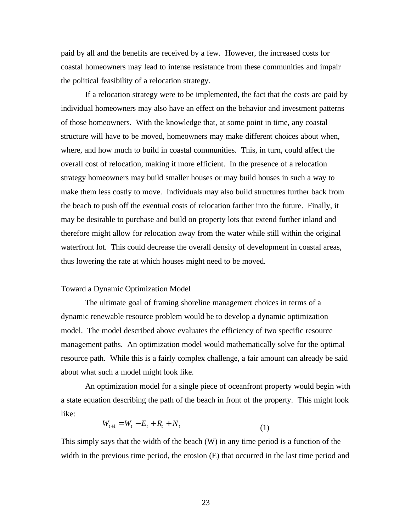paid by all and the benefits are received by a few. However, the increased costs for coastal homeowners may lead to intense resistance from these communities and impair the political feasibility of a relocation strategy.

If a relocation strategy were to be implemented, the fact that the costs are paid by individual homeowners may also have an effect on the behavior and investment patterns of those homeowners. With the knowledge that, at some point in time, any coastal structure will have to be moved, homeowners may make different choices about when, where, and how much to build in coastal communities. This, in turn, could affect the overall cost of relocation, making it more efficient. In the presence of a relocation strategy homeowners may build smaller houses or may build houses in such a way to make them less costly to move. Individuals may also build structures further back from the beach to push off the eventual costs of relocation farther into the future. Finally, it may be desirable to purchase and build on property lots that extend further inland and therefore might allow for relocation away from the water while still within the original waterfront lot. This could decrease the overall density of development in coastal areas, thus lowering the rate at which houses might need to be moved.

## Toward a Dynamic Optimization Model

The ultimate goal of framing shoreline management choices in terms of a dynamic renewable resource problem would be to develop a dynamic optimization model. The model described above evaluates the efficiency of two specific resource management paths. An optimization model would mathematically solve for the optimal resource path. While this is a fairly complex challenge, a fair amount can already be said about what such a model might look like.

An optimization model for a single piece of oceanfront property would begin with a state equation describing the path of the beach in front of the property. This might look like:

$$
W_{t+1} = W_t - E_t + R_t + N_t
$$
\n(1)

This simply says that the width of the beach (W) in any time period is a function of the width in the previous time period, the erosion (E) that occurred in the last time period and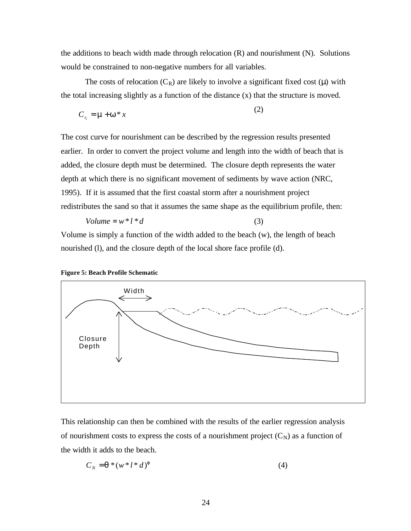the additions to beach width made through relocation (R) and nourishment (N). Solutions would be constrained to non-negative numbers for all variables.

The costs of relocation  $(C_R)$  are likely to involve a significant fixed cost  $(\mu)$  with the total increasing slightly as a function of the distance (x) that the structure is moved.

 $(2)$ 

$$
C_{r_i} = \mathbf{m} + \mathbf{w}^* x \tag{2}
$$

The cost curve for nourishment can be described by the regression results presented earlier. In order to convert the project volume and length into the width of beach that is added, the closure depth must be determined. The closure depth represents the water depth at which there is no significant movement of sediments by wave action (NRC, 1995). If it is assumed that the first coastal storm after a nourishment project redistributes the sand so that it assumes the same shape as the equilibrium profile, then:

$$
Volume = w^* l^* d \tag{3}
$$

Volume is simply a function of the width added to the beach (w), the length of beach nourished (l), and the closure depth of the local shore face profile (d).





This relationship can then be combined with the results of the earlier regression analysis of nourishment costs to express the costs of a nourishment project  $(C_N)$  as a function of the width it adds to the beach.

$$
C_N = \mathbf{q} * (w * l * d)^f \tag{4}
$$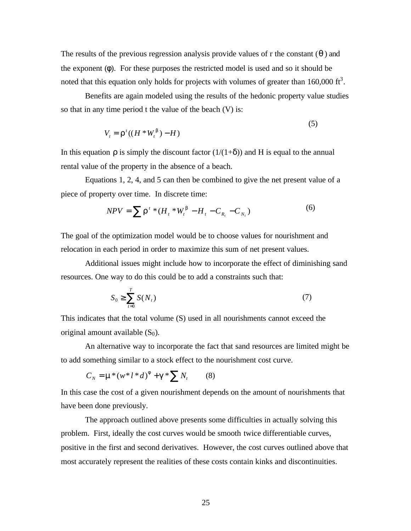The results of the previous regression analysis provide values of r the constant (*q* ) and the exponent (φ). For these purposes the restricted model is used and so it should be noted that this equation only holds for projects with volumes of greater than  $160,000$  ft<sup>3</sup>.

Benefits are again modeled using the results of the hedonic property value studies so that in any time period t the value of the beach (V) is:

$$
V_t = \mathbf{r}^t((H^*W_t^{\mathbf{b}}) - H) \tag{5}
$$

In this equation  $\rho$  is simply the discount factor  $(1/(1+\delta))$  and H is equal to the annual rental value of the property in the absence of a beach.

Equations 1, 2, 4, and 5 can then be combined to give the net present value of a piece of property over time. In discrete time:

$$
NPV = \sum_{i} \mathbf{r}^{t} * (H_{t} * W_{t}^{b} - H_{t} - C_{R_{t}} - C_{N_{t}})
$$
\n<sup>(6)</sup>

The goal of the optimization model would be to choose values for nourishment and relocation in each period in order to maximize this sum of net present values.

Additional issues might include how to incorporate the effect of diminishing sand resources. One way to do this could be to add a constraints such that:

$$
S_0 \ge \sum_{t=0}^T S(N_t) \tag{7}
$$

This indicates that the total volume (S) used in all nourishments cannot exceed the original amount available  $(S_0)$ .

An alternative way to incorporate the fact that sand resources are limited might be to add something similar to a stock effect to the nourishment cost curve.

$$
C_N = \mathbf{m}^*(w^*l^*d)^f + \mathbf{g}^* \sum N_t
$$
 (8)

In this case the cost of a given nourishment depends on the amount of nourishments that have been done previously.

The approach outlined above presents some difficulties in actually solving this problem. First, ideally the cost curves would be smooth twice differentiable curves, positive in the first and second derivatives. However, the cost curves outlined above that most accurately represent the realities of these costs contain kinks and discontinuities.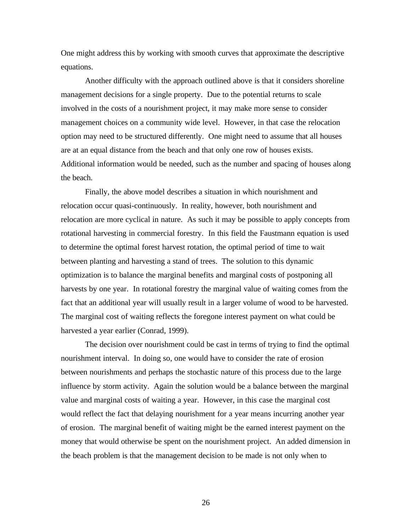One might address this by working with smooth curves that approximate the descriptive equations.

Another difficulty with the approach outlined above is that it considers shoreline management decisions for a single property. Due to the potential returns to scale involved in the costs of a nourishment project, it may make more sense to consider management choices on a community wide level. However, in that case the relocation option may need to be structured differently. One might need to assume that all houses are at an equal distance from the beach and that only one row of houses exists. Additional information would be needed, such as the number and spacing of houses along the beach.

Finally, the above model describes a situation in which nourishment and relocation occur quasi-continuously. In reality, however, both nourishment and relocation are more cyclical in nature. As such it may be possible to apply concepts from rotational harvesting in commercial forestry. In this field the Faustmann equation is used to determine the optimal forest harvest rotation, the optimal period of time to wait between planting and harvesting a stand of trees. The solution to this dynamic optimization is to balance the marginal benefits and marginal costs of postponing all harvests by one year. In rotational forestry the marginal value of waiting comes from the fact that an additional year will usually result in a larger volume of wood to be harvested. The marginal cost of waiting reflects the foregone interest payment on what could be harvested a year earlier (Conrad, 1999).

The decision over nourishment could be cast in terms of trying to find the optimal nourishment interval. In doing so, one would have to consider the rate of erosion between nourishments and perhaps the stochastic nature of this process due to the large influence by storm activity. Again the solution would be a balance between the marginal value and marginal costs of waiting a year. However, in this case the marginal cost would reflect the fact that delaying nourishment for a year means incurring another year of erosion. The marginal benefit of waiting might be the earned interest payment on the money that would otherwise be spent on the nourishment project. An added dimension in the beach problem is that the management decision to be made is not only when to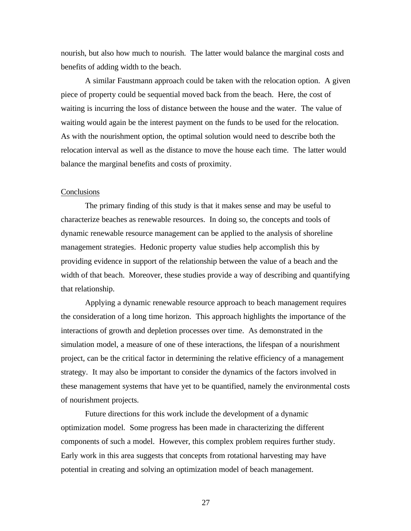nourish, but also how much to nourish. The latter would balance the marginal costs and benefits of adding width to the beach.

A similar Faustmann approach could be taken with the relocation option. A given piece of property could be sequential moved back from the beach. Here, the cost of waiting is incurring the loss of distance between the house and the water. The value of waiting would again be the interest payment on the funds to be used for the relocation. As with the nourishment option, the optimal solution would need to describe both the relocation interval as well as the distance to move the house each time. The latter would balance the marginal benefits and costs of proximity.

## **Conclusions**

The primary finding of this study is that it makes sense and may be useful to characterize beaches as renewable resources. In doing so, the concepts and tools of dynamic renewable resource management can be applied to the analysis of shoreline management strategies. Hedonic property value studies help accomplish this by providing evidence in support of the relationship between the value of a beach and the width of that beach. Moreover, these studies provide a way of describing and quantifying that relationship.

Applying a dynamic renewable resource approach to beach management requires the consideration of a long time horizon. This approach highlights the importance of the interactions of growth and depletion processes over time. As demonstrated in the simulation model, a measure of one of these interactions, the lifespan of a nourishment project, can be the critical factor in determining the relative efficiency of a management strategy. It may also be important to consider the dynamics of the factors involved in these management systems that have yet to be quantified, namely the environmental costs of nourishment projects.

Future directions for this work include the development of a dynamic optimization model. Some progress has been made in characterizing the different components of such a model. However, this complex problem requires further study. Early work in this area suggests that concepts from rotational harvesting may have potential in creating and solving an optimization model of beach management.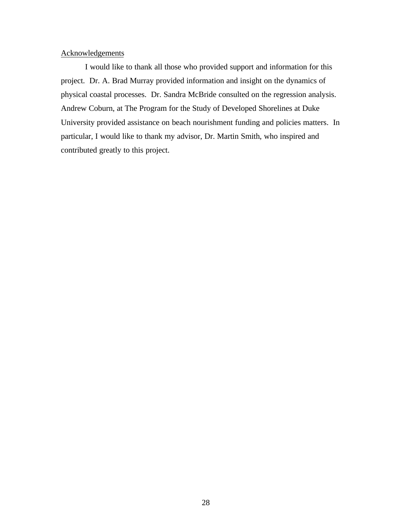# Acknowledgements

I would like to thank all those who provided support and information for this project. Dr. A. Brad Murray provided information and insight on the dynamics of physical coastal processes. Dr. Sandra McBride consulted on the regression analysis. Andrew Coburn, at The Program for the Study of Developed Shorelines at Duke University provided assistance on beach nourishment funding and policies matters. In particular, I would like to thank my advisor, Dr. Martin Smith, who inspired and contributed greatly to this project.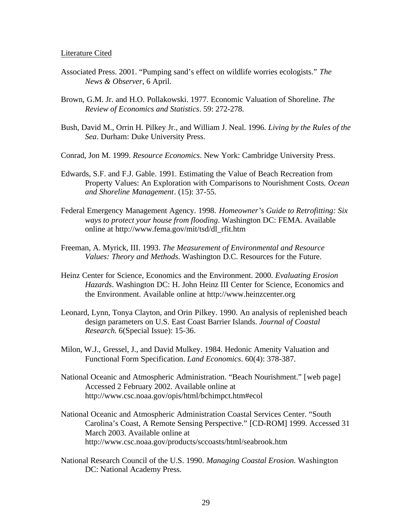#### Literature Cited

- Associated Press. 2001. "Pumping sand's effect on wildlife worries ecologists." *The News & Observer*, 6 April.
- Brown, G.M. Jr. and H.O. Pollakowski. 1977. Economic Valuation of Shoreline. *The Review of Economics and Statistics*. 59: 272-278.
- Bush, David M., Orrin H. Pilkey Jr., and William J. Neal. 1996. *Living by the Rules of the Sea*. Durham: Duke University Press.
- Conrad, Jon M. 1999. *Resource Economics*. New York: Cambridge University Press.
- Edwards, S.F. and F.J. Gable. 1991. Estimating the Value of Beach Recreation from Property Values: An Exploration with Comparisons to Nourishment Costs. *Ocean and Shoreline Management*. (15): 37-55.
- Federal Emergency Management Agency. 1998. *Homeowner's Guide to Retrofitting: Six ways to protect your house from flooding*. Washington DC: FEMA. Available online at http://www.fema.gov/mit/tsd/dl\_rfit.htm
- Freeman, A. Myrick, III. 1993. *The Measurement of Environmental and Resource Values: Theory and Methods*. Washington D.C. Resources for the Future.
- Heinz Center for Science, Economics and the Environment. 2000. *Evaluating Erosion Hazards*. Washington DC: H. John Heinz III Center for Science, Economics and the Environment. Available online at http://www.heinzcenter.org
- Leonard, Lynn, Tonya Clayton, and Orin Pilkey. 1990. An analysis of replenished beach design parameters on U.S. East Coast Barrier Islands. *Journal of Coastal Research.* 6(Special Issue): 15-36.
- Milon, W.J., Gressel, J., and David Mulkey. 1984. Hedonic Amenity Valuation and Functional Form Specification. *Land Economics*. 60(4): 378-387.
- National Oceanic and Atmospheric Administration. "Beach Nourishment." [web page] Accessed 2 February 2002. Available online at http://www.csc.noaa.gov/opis/html/bchimpct.htm#ecol
- National Oceanic and Atmospheric Administration Coastal Services Center. "South Carolina's Coast, A Remote Sensing Perspective." [CD-ROM] 1999. Accessed 31 March 2003. Available online at http://www.csc.noaa.gov/products/sccoasts/html/seabrook.htm
- National Research Council of the U.S. 1990. *Managing Coastal Erosion.* Washington DC: National Academy Press.